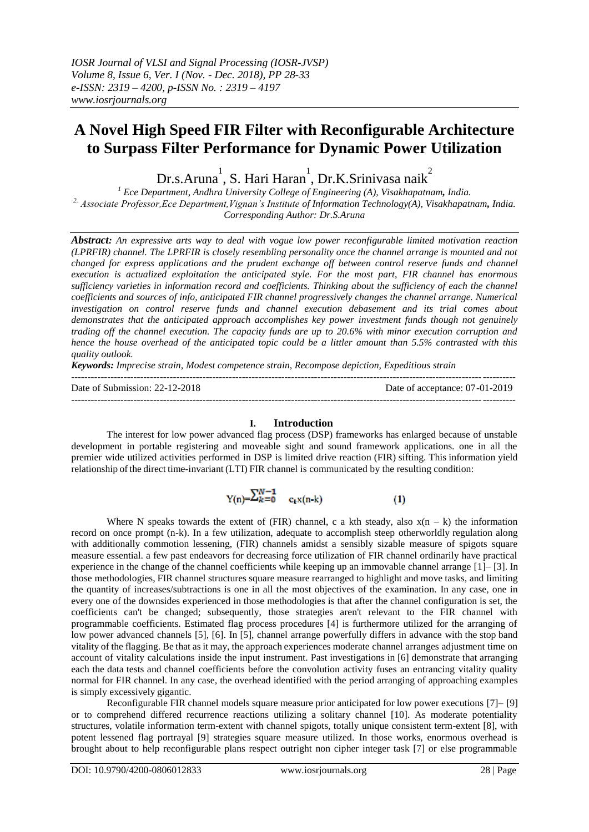# **A Novel High Speed FIR Filter with Reconfigurable Architecture to Surpass Filter Performance for Dynamic Power Utilization**

Dr.s.Aruna $^{\rm l}$ , S. Hari Haran $^{\rm l}$ , Dr.K.Srinivasa naik $^{\rm 2}$ 

*<sup>1</sup> Ece Department, Andhra University College of Engineering (A), Visakhapatnam, India. 2. Associate Professor,Ece Department,Vignan's Institute of Information Technology(A), Visakhapatnam, India. Corresponding Author: Dr.S.Aruna*

*Abstract: An expressive arts way to deal with vogue low power reconfigurable limited motivation reaction (LPRFIR) channel. The LPRFIR is closely resembling personality once the channel arrange is mounted and not changed for express applications and the prudent exchange off between control reserve funds and channel execution is actualized exploitation the anticipated style. For the most part, FIR channel has enormous sufficiency varieties in information record and coefficients. Thinking about the sufficiency of each the channel coefficients and sources of info, anticipated FIR channel progressively changes the channel arrange. Numerical investigation on control reserve funds and channel execution debasement and its trial comes about demonstrates that the anticipated approach accomplishes key power investment funds though not genuinely trading off the channel execution. The capacity funds are up to 20.6% with minor execution corruption and hence the house overhead of the anticipated topic could be a littler amount than 5.5% contrasted with this quality outlook.*

*Keywords: Imprecise strain, Modest competence strain, Recompose depiction, Expeditious strain* ---------------------------------------------------------------------------------------------------------------------------------------

Date of Submission: 22-12-2018 Date of acceptance: 07-01-2019 ---------------------------------------------------------------------------------------------------------------------------------------

#### **I. Introduction**

The interest for low power advanced flag process (DSP) frameworks has enlarged because of unstable development in portable registering and moveable sight and sound framework applications. one in all the premier wide utilized activities performed in DSP is limited drive reaction (FIR) sifting. This information yield relationship of the direct time-invariant (LTI) FIR channel is communicated by the resulting condition:

> $Y(n) = \sum_{k=0}^{N-1} c_k x(n-k)$  $(1)$

Where N speaks towards the extent of (FIR) channel, c a kth steady, also  $x(n - k)$  the information record on once prompt (n-k). In a few utilization, adequate to accomplish steep otherworldly regulation along with additionally commotion lessening, (FIR) channels amidst a sensibly sizable measure of spigots square measure essential. a few past endeavors for decreasing force utilization of FIR channel ordinarily have practical experience in the change of the channel coefficients while keeping up an immovable channel arrange [1]– [3]. In those methodologies, FIR channel structures square measure rearranged to highlight and move tasks, and limiting the quantity of increases/subtractions is one in all the most objectives of the examination. In any case, one in every one of the downsides experienced in those methodologies is that after the channel configuration is set, the coefficients can't be changed; subsequently, those strategies aren't relevant to the FIR channel with programmable coefficients. Estimated flag process procedures [4] is furthermore utilized for the arranging of low power advanced channels [5], [6]. In [5], channel arrange powerfully differs in advance with the stop band vitality of the flagging. Be that as it may, the approach experiences moderate channel arranges adjustment time on account of vitality calculations inside the input instrument. Past investigations in [6] demonstrate that arranging each the data tests and channel coefficients before the convolution activity fuses an entrancing vitality quality normal for FIR channel. In any case, the overhead identified with the period arranging of approaching examples is simply excessively gigantic.

Reconfigurable FIR channel models square measure prior anticipated for low power executions [7]– [9] or to comprehend differed recurrence reactions utilizing a solitary channel [10]. As moderate potentiality structures, volatile information term-extent with channel spigots, totally unique consistent term-extent [8], with potent lessened flag portrayal [9] strategies square measure utilized. In those works, enormous overhead is brought about to help reconfigurable plans respect outright non cipher integer task [7] or else programmable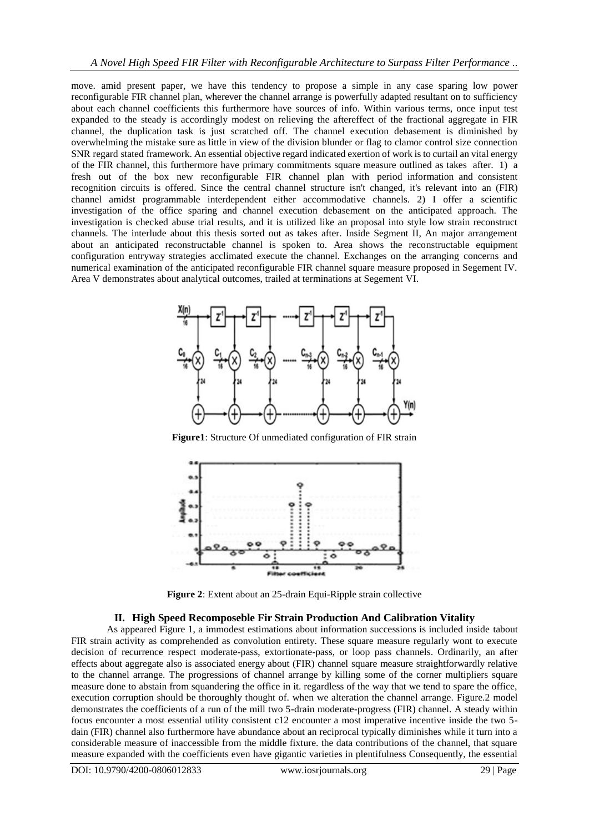move. amid present paper, we have this tendency to propose a simple in any case sparing low power reconfigurable FIR channel plan, wherever the channel arrange is powerfully adapted resultant on to sufficiency about each channel coefficients this furthermore have sources of info. Within various terms, once input test expanded to the steady is accordingly modest on relieving the aftereffect of the fractional aggregate in FIR channel, the duplication task is just scratched off. The channel execution debasement is diminished by overwhelming the mistake sure as little in view of the division blunder or flag to clamor control size connection SNR regard stated framework. An essential objective regard indicated exertion of work is to curtail an vital energy of the FIR channel, this furthermore have primary commitments square measure outlined as takes after. 1) a fresh out of the box new reconfigurable FIR channel plan with period information and consistent recognition circuits is offered. Since the central channel structure isn't changed, it's relevant into an (FIR) channel amidst programmable interdependent either accommodative channels. 2) I offer a scientific investigation of the office sparing and channel execution debasement on the anticipated approach. The investigation is checked abuse trial results, and it is utilized like an proposal into style low strain reconstruct channels. The interlude about this thesis sorted out as takes after. Inside Segment II, An major arrangement about an anticipated reconstructable channel is spoken to. Area shows the reconstructable equipment configuration entryway strategies acclimated execute the channel. Exchanges on the arranging concerns and numerical examination of the anticipated reconfigurable FIR channel square measure proposed in Segement IV. Area V demonstrates about analytical outcomes, trailed at terminations at Segement VI.



**Figure1**: Structure Of unmediated configuration of FIR strain



**Figure 2**: Extent about an 25-drain Equi-Ripple strain collective

## **II. High Speed Recomposeble Fir Strain Production And Calibration Vitality**

As appeared Figure 1, a immodest estimations about information successions is included inside tabout FIR strain activity as comprehended as convolution entirety. These square measure regularly wont to execute decision of recurrence respect moderate-pass, extortionate-pass, or loop pass channels. Ordinarily, an after effects about aggregate also is associated energy about (FIR) channel square measure straightforwardly relative to the channel arrange. The progressions of channel arrange by killing some of the corner multipliers square measure done to abstain from squandering the office in it. regardless of the way that we tend to spare the office, execution corruption should be thoroughly thought of. when we alteration the channel arrange. Figure.2 model demonstrates the coefficients of a run of the mill two 5-drain moderate-progress (FIR) channel. A steady within focus encounter a most essential utility consistent c12 encounter a most imperative incentive inside the two 5 dain (FIR) channel also furthermore have abundance about an reciprocal typically diminishes while it turn into a considerable measure of inaccessible from the middle fixture. the data contributions of the channel, that square measure expanded with the coefficients even have gigantic varieties in plentifulness Consequently, the essential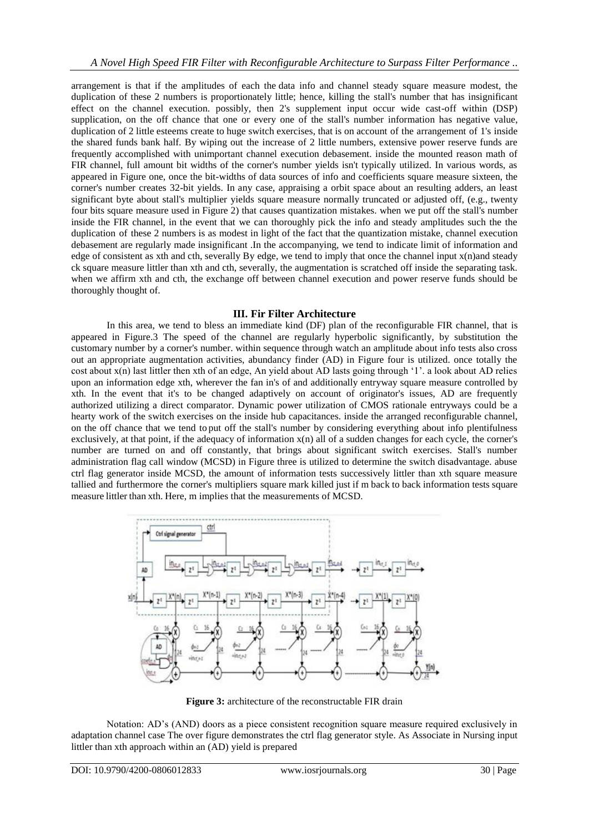arrangement is that if the amplitudes of each the data info and channel steady square measure modest, the duplication of these 2 numbers is proportionately little; hence, killing the stall's number that has insignificant effect on the channel execution. possibly, then 2's supplement input occur wide cast-off within (DSP) supplication, on the off chance that one or every one of the stall's number information has negative value, duplication of 2 little esteems create to huge switch exercises, that is on account of the arrangement of 1's inside the shared funds bank half. By wiping out the increase of 2 little numbers, extensive power reserve funds are frequently accomplished with unimportant channel execution debasement. inside the mounted reason math of FIR channel, full amount bit widths of the corner's number yields isn't typically utilized. In various words, as appeared in Figure one, once the bit-widths of data sources of info and coefficients square measure sixteen, the corner's number creates 32-bit yields. In any case, appraising a orbit space about an resulting adders, an least significant byte about stall's multiplier yields square measure normally truncated or adjusted off, (e.g., twenty four bits square measure used in Figure 2) that causes quantization mistakes. when we put off the stall's number inside the FIR channel, in the event that we can thoroughly pick the info and steady amplitudes such the the duplication of these 2 numbers is as modest in light of the fact that the quantization mistake, channel execution debasement are regularly made insignificant .In the accompanying, we tend to indicate limit of information and edge of consistent as xth and cth, severally By edge, we tend to imply that once the channel input x(n)and steady ck square measure littler than xth and cth, severally, the augmentation is scratched off inside the separating task. when we affirm xth and cth, the exchange off between channel execution and power reserve funds should be thoroughly thought of.

### **III. Fir Filter Architecture**

In this area, we tend to bless an immediate kind (DF) plan of the reconfigurable FIR channel, that is appeared in Figure.3 The speed of the channel are regularly hyperbolic significantly, by substitution the customary number by a corner's number. within sequence through watch an amplitude about info tests also cross out an appropriate augmentation activities, abundancy finder (AD) in Figure four is utilized. once totally the cost about x(n) last littler then xth of an edge, An yield about AD lasts going through "1". a look about AD relies upon an information edge xth, wherever the fan in's of and additionally entryway square measure controlled by xth. In the event that it's to be changed adaptively on account of originator's issues, AD are frequently authorized utilizing a direct comparator. Dynamic power utilization of CMOS rationale entryways could be a hearty work of the switch exercises on the inside hub capacitances. inside the arranged reconfigurable channel, on the off chance that we tend to put off the stall's number by considering everything about info plentifulness exclusively, at that point, if the adequacy of information x(n) all of a sudden changes for each cycle, the corner's number are turned on and off constantly, that brings about significant switch exercises. Stall's number administration flag call window (MCSD) in Figure three is utilized to determine the switch disadvantage. abuse ctrl flag generator inside MCSD, the amount of information tests successively littler than xth square measure tallied and furthermore the corner's multipliers square mark killed just if m back to back information tests square measure littler than xth. Here, m implies that the measurements of MCSD.



**Figure 3:** architecture of the reconstructable FIR drain

Notation: AD"s (AND) doors as a piece consistent recognition square measure required exclusively in adaptation channel case The over figure demonstrates the ctrl flag generator style. As Associate in Nursing input littler than xth approach within an (AD) yield is prepared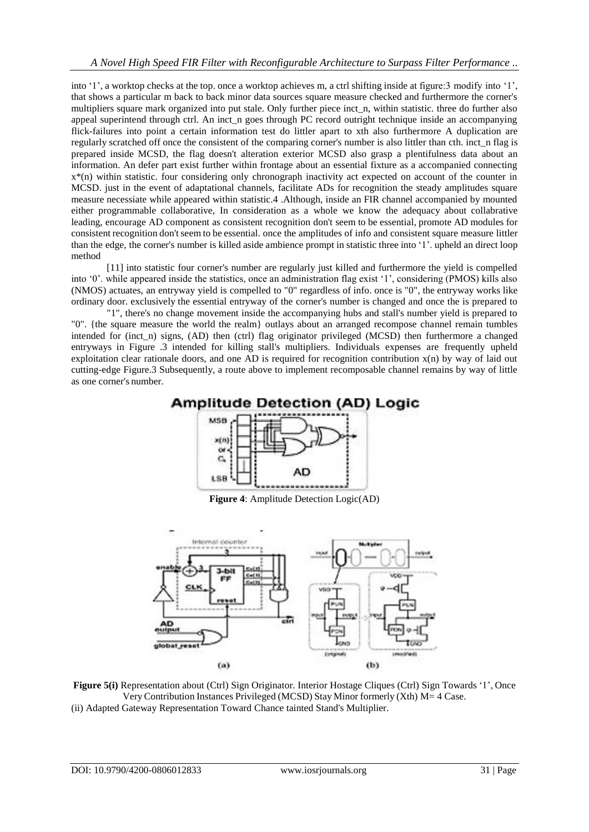into "1", a worktop checks at the top. once a worktop achieves m, a ctrl shifting inside at figure:3 modify into "1", that shows a particular m back to back minor data sources square measure checked and furthermore the corner's multipliers square mark organized into put stale. Only further piece inct n, within statistic. three do further also appeal superintend through ctrl. An inct n goes through PC record outright technique inside an accompanying flick-failures into point a certain information test do littler apart to xth also furthermore A duplication are regularly scratched off once the consistent of the comparing corner's number is also littler than cth. inct n flag is prepared inside MCSD, the flag doesn't alteration exterior MCSD also grasp a plentifulness data about an information. An defer part exist further within frontage about an essential fixture as a accompanied connecting x\*(n) within statistic. four considering only chronograph inactivity act expected on account of the counter in MCSD. just in the event of adaptational channels, facilitate ADs for recognition the steady amplitudes square measure necessiate while appeared within statistic.4 .Although, inside an FIR channel accompanied by mounted either programmable collaborative, In consideration as a whole we know the adequacy about collabrative leading, encourage AD component as consistent recognition don't seem to be essential, promote AD modules for consistent recognition don't seem to be essential. once the amplitudes of info and consistent square measure littler than the edge, the corner's number is killed aside ambience prompt in statistic three into "1". upheld an direct loop method

[11] into statistic four corner's number are regularly just killed and furthermore the yield is compelled into '0', while appeared inside the statistics, once an administration flag exist '1', considering (PMOS) kills also (NMOS) actuates, an entryway yield is compelled to "0" regardless of info. once is "0", the entryway works like ordinary door. exclusively the essential entryway of the corner's number is changed and once the is prepared to

"1", there's no change movement inside the accompanying hubs and stall's number yield is prepared to "0". {the square measure the world the realm} outlays about an arranged recompose channel remain tumbles intended for (inct\_n) signs, (AD) then (ctrl) flag originator privileged (MCSD) then furthermore a changed entryways in Figure .3 intended for killing stall's multipliers. Individuals expenses are frequently upheld exploitation clear rationale doors, and one AD is required for recognition contribution x(n) by way of laid out cutting-edge Figure.3 Subsequently, a route above to implement recomposable channel remains by way of little as one corner's number.



**Figure 4**: Amplitude Detection Logic(AD)



**Figure 5(i)** Representation about (Ctrl) Sign Originator. Interior Hostage Cliques (Ctrl) Sign Towards '1', Once VeryContribution Instances Privileged (MCSD) Stay Minor formerly (Xth) M= 4 Case. (ii) Adapted Gateway Representation Toward Chance tainted Stand's Multiplier.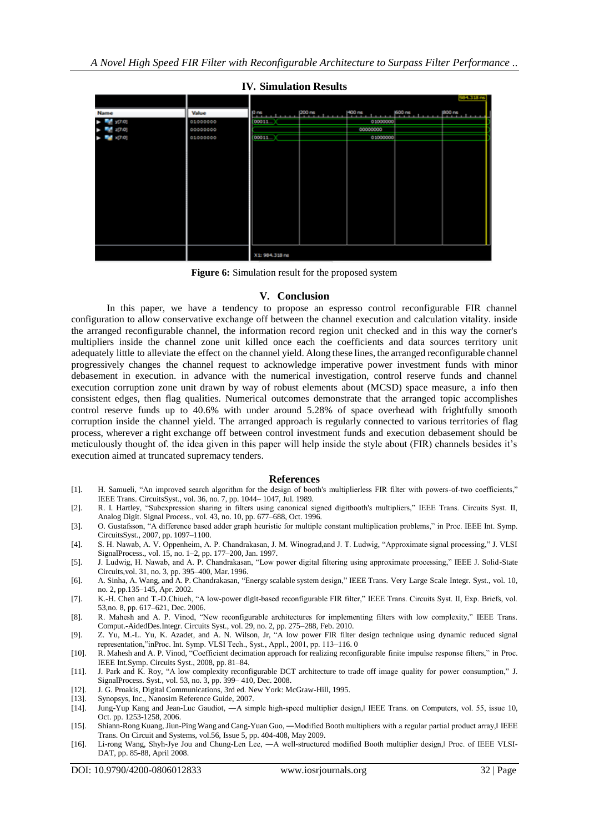

**Figure 6:** Simulation result for the proposed system

#### **V. Conclusion**

In this paper, we have a tendency to propose an espresso control reconfigurable FIR channel configuration to allow conservative exchange off between the channel execution and calculation vitality. inside the arranged reconfigurable channel, the information record region unit checked and in this way the corner's multipliers inside the channel zone unit killed once each the coefficients and data sources territory unit adequately little to alleviate the effect on the channel yield. Along these lines, the arranged reconfigurable channel progressively changes the channel request to acknowledge imperative power investment funds with minor debasement in execution. in advance with the numerical investigation, control reserve funds and channel execution corruption zone unit drawn by way of robust elements about (MCSD) space measure, a info then consistent edges, then flag qualities. Numerical outcomes demonstrate that the arranged topic accomplishes control reserve funds up to 40.6% with under around 5.28% of space overhead with frightfully smooth corruption inside the channel yield. The arranged approach is regularly connected to various territories of flag process, wherever a right exchange off between control investment funds and execution debasement should be meticulously thought of. the idea given in this paper will help inside the style about (FIR) channels besides it's execution aimed at truncated supremacy tenders.

#### **References**

- [1]. H. Samueli, "An improved search algorithm for the design of booth's multiplierless FIR filter with powers-of-two coefficients," IEEE Trans. CircuitsSyst., vol. 36, no. 7, pp. 1044– 1047, Jul. 1989.
- [2]. R. I. Hartley, "Subexpression sharing in filters using canonical signed digitbooth's multipliers," IEEE Trans. Circuits Syst. II, Analog Digit. Signal Process., vol. 43, no. 10, pp. 677–688, Oct. 1996.
- [3]. O. Gustafsson, "A difference based adder graph heuristic for multiple constant multiplication problems," in Proc. IEEE Int. Symp. CircuitsSyst., 2007, pp. 1097–1100.
- [4]. S. H. Nawab, A. V. Oppenheim, A. P. Chandrakasan, J. M. Winograd,and J. T. Ludwig, "Approximate signal processing," J. VLSI SignalProcess., vol. 15, no. 1–2, pp. 177–200, Jan. 1997.
- [5]. J. Ludwig, H. Nawab, and A. P. Chandrakasan, "Low power digital filtering using approximate processing," IEEE J. Solid-State Circuits,vol. 31, no. 3, pp. 395–400, Mar. 1996.
- [6]. A. Sinha, A. Wang, and A. P. Chandrakasan, "Energy scalable system design," IEEE Trans. Very Large Scale Integr. Syst., vol. 10, no. 2, pp.135–145, Apr. 2002.
- [7]. K.-H. Chen and T.-D.Chiueh, "A low-power digit-based reconfigurable FIR filter," IEEE Trans. Circuits Syst. II, Exp. Briefs, vol. 53,no. 8, pp. 617–621, Dec. 2006.
- [8]. R. Mahesh and A. P. Vinod, "New reconfigurable architectures for implementing filters with low complexity," IEEE Trans. Comput.-AidedDes.Integr. Circuits Syst., vol. 29, no. 2, pp. 275–288, Feb. 2010.
- [9]. Z. Yu, M.-L. Yu, K. Azadet, and A. N. Wilson, Jr, "A low power FIR filter design technique using dynamic reduced signal representation,"inProc. Int. Symp. VLSI Tech., Syst., Appl., 2001, pp. 113–116. 0
- [10]. R. Mahesh and A. P. Vinod, "Coefficient decimation approach for realizing reconfigurable finite impulse response filters," in Proc. IEEE Int.Symp. Circuits Syst., 2008, pp. 81–84.
- [11]. J. Park and K. Roy, "A low complexity reconfigurable DCT architecture to trade off image quality for power consumption," J. SignalProcess. Syst., vol. 53, no. 3, pp. 399– 410, Dec. 2008.
- [12]. J. G. Proakis, Digital Communications, 3rd ed. New York: McGraw-Hill, 1995.
- [13]. Synopsys, Inc., Nanosim Reference Guide, 2007.<br>[14]. Jung-Yup Kang and Jean-Luc Gaudiot,  $-A$  sin
- Jung-Yup Kang and Jean-Luc Gaudiot, —A simple high-speed multiplier design, IEEE Trans. on Computers, vol. 55, issue 10, Oct. pp. 1253-1258, 2006.
- [15]. Shiann-Rong Kuang, Jiun-Ping Wang and Cang-Yuan Guo, —Modified Booth multipliers with a regular partial product array, I IEEE Trans. On Circuit and Systems, vol.56, Issue 5, pp. 404-408, May 2009.
- [16]. Li-rong Wang, Shyh-Jye Jou and Chung-Len Lee, A well-structured modified Booth multiplier design, Proc. of IEEE VLSI-DAT, pp. 85-88, April 2008.